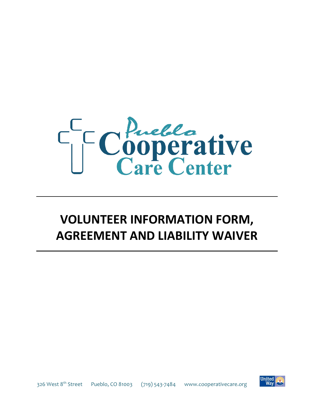

## **VOLUNTEER INFORMATION FORM, AGREEMENT AND LIABILITY WAIVER**



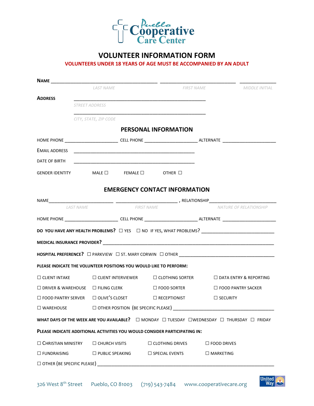

#### **VOLUNTEER INFORMATION FORM**

#### **VOLUNTEERS UNDER 18 YEARS OF AGE MUST BE ACCOMPANIED BY AN ADULT**

|                                                                                                                      | <b>LAST NAME</b>                                                         |                                                             | <b>FIRST NAME</b>                                                                                                     |                 | <b>MIDDLE INITIAL</b>     |  |
|----------------------------------------------------------------------------------------------------------------------|--------------------------------------------------------------------------|-------------------------------------------------------------|-----------------------------------------------------------------------------------------------------------------------|-----------------|---------------------------|--|
| <b>ADDRESS</b>                                                                                                       |                                                                          |                                                             | <u> 1989 - Johann John Stone, markin film yn y system yn y system yn y system yn y system yn y system yn y system</u> |                 |                           |  |
|                                                                                                                      | <b>STREET ADDRESS</b>                                                    |                                                             |                                                                                                                       |                 |                           |  |
|                                                                                                                      | CITY, STATE, ZIP CODE                                                    |                                                             |                                                                                                                       |                 |                           |  |
|                                                                                                                      |                                                                          |                                                             | PERSONAL INFORMATION                                                                                                  |                 |                           |  |
|                                                                                                                      |                                                                          |                                                             |                                                                                                                       |                 |                           |  |
| EMAIL ADDRESS                                                                                                        |                                                                          |                                                             | <u> 1989 - Johann John Stoff, deutscher Stoffen und der Stoffen und der Stoffen und der Stoffen und der Stoffen u</u> |                 |                           |  |
| DATE OF BIRTH                                                                                                        |                                                                          |                                                             | <u> 1989 - Johann John Stone, mars et al. (1989)</u>                                                                  |                 |                           |  |
| GENDER IDENTITY MALE □ FEMALE □ OTHER □                                                                              |                                                                          |                                                             |                                                                                                                       |                 |                           |  |
|                                                                                                                      |                                                                          |                                                             | <b>EMERGENCY CONTACT INFORMATION</b>                                                                                  |                 |                           |  |
|                                                                                                                      |                                                                          |                                                             |                                                                                                                       |                 |                           |  |
| <b>LAST NAME</b>                                                                                                     |                                                                          | <b>FIRST NAME</b>                                           |                                                                                                                       |                 | NATURE OF RELATIONSHIP    |  |
| HOME PHONE ________________________________CELL PHONE ___________________________ALTERNATE _________________________ |                                                                          |                                                             |                                                                                                                       |                 |                           |  |
|                                                                                                                      |                                                                          |                                                             | DO YOU HAVE ANY HEALTH PROBLEMS? □ YES □ NO IF YES, WHAT PROBLEMS? ________________________________                   |                 |                           |  |
|                                                                                                                      |                                                                          |                                                             |                                                                                                                       |                 |                           |  |
|                                                                                                                      |                                                                          |                                                             |                                                                                                                       |                 |                           |  |
| PLEASE INDICATE THE VOLUNTEER POSITIONS YOU WOULD LIKE TO PERFORM:                                                   |                                                                          |                                                             |                                                                                                                       |                 |                           |  |
|                                                                                                                      |                                                                          |                                                             | $\square$ CLIENT INTAKE $\square$ CLIENT INTERVIEWER $\square$ CLOTHING SORTER $\square$ DATA ENTRY & REPORTING       |                 |                           |  |
| $\Box$ DRIVER & WAREHOUSE $\Box$ FILING CLERK                                                                        |                                                                          |                                                             | $\Box$ FOOD SORTER                                                                                                    |                 | $\Box$ FOOD PANTRY SACKER |  |
| $\Box$ FOOD PANTRY SERVER $\Box$ OLIVE'S CLOSET $\Box$ RECEPTIONIST                                                  |                                                                          |                                                             |                                                                                                                       | $\Box$ SECURITY |                           |  |
|                                                                                                                      |                                                                          | $\Box$ WAREHOUSE $\Box$ OTHER POSITION (BE SPECIFIC PLEASE) |                                                                                                                       |                 |                           |  |
|                                                                                                                      |                                                                          |                                                             | WHAT DAYS OF THE WEEK ARE YOU AVAILABLE? $\Box$ MONDAY $\Box$ TUESDAY $\Box$ WEDNESDAY $\Box$ THURSDAY $\Box$ FRIDAY  |                 |                           |  |
|                                                                                                                      |                                                                          |                                                             | PLEASE INDICATE ADDITIONAL ACTIVITIES YOU WOULD CONSIDER PARTICIPATING IN:                                            |                 |                           |  |
|                                                                                                                      |                                                                          |                                                             | $\Box$ CHRISTIAN MINISTRY $\Box$ CHURCH VISITS $\Box$ CLOTHING DRIVES $\Box$ FOOD DRIVES                              |                 |                           |  |
|                                                                                                                      | $\square$ FUNDRAISING $\square$ PUBLIC SPEAKING $\square$ SPECIAL EVENTS |                                                             | $\square$ MARKETING                                                                                                   |                 |                           |  |
|                                                                                                                      |                                                                          |                                                             |                                                                                                                       |                 |                           |  |

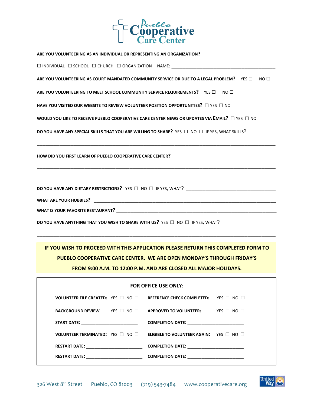

**ARE YOU VOLUNTEERING AS AN INDIVIDUAL OR REPRESENTING AN ORGANIZATION?** □INDIVIDUAL □SCHOOL □ CHURCH □ ORGANIZATION NAME: \_\_\_\_\_\_\_\_\_\_\_\_\_\_\_\_\_\_\_\_\_\_\_\_\_\_\_\_\_\_\_\_\_\_\_\_\_ **ARE YOU VOLUNTEERING AS COURT MANDATED COMMUNITY SERVICE OR DUE TO A LEGAL PROBLEM?** YES □ NO □ **ARE YOU VOLUNTEERING TO MEET SCHOOL COMMUNITY SERVICE REQUIREMENTS? YES □ NO □ HAVE YOU VISITED OUR WEBSITE TO REVIEW VOLUNTEER POSITION OPPORTUNITIES?** □ YES □ NO **WOULD YOU LIKE TO RECEIVE PUEBLO COOPERATIVE CARE CENTER NEWS OR UPDATES VIA EMAIL?** □ YES □ NO **DO YOU HAVE ANY SPECIAL SKILLS THAT YOU ARE WILLING TO SHARE?** YES □ NO □ IF YES, WHAT SKILLS? \_\_\_\_\_\_\_\_\_\_\_\_\_\_\_\_\_\_\_\_\_\_\_\_\_\_\_\_\_\_\_\_\_\_\_\_\_\_\_\_\_\_\_\_\_\_\_\_\_\_\_\_\_\_\_\_\_\_\_\_\_\_\_\_\_\_\_\_\_\_\_\_\_\_\_\_\_\_\_\_\_\_\_\_\_ **HOW DID YOU FIRST LEARN OF PUEBLO COOPERATIVE CARE CENTER?**

\_\_\_\_\_\_\_\_\_\_\_\_\_\_\_\_\_\_\_\_\_\_\_\_\_\_\_\_\_\_\_\_\_\_\_\_\_\_\_\_\_\_\_\_\_\_\_\_\_\_\_\_\_\_\_\_\_\_\_\_\_\_\_\_\_\_\_\_\_\_\_\_\_\_\_\_\_\_\_\_\_\_\_\_\_

\_\_\_\_\_\_\_\_\_\_\_\_\_\_\_\_\_\_\_\_\_\_\_\_\_\_\_\_\_\_\_\_\_\_\_\_\_\_\_\_\_\_\_\_\_\_\_\_\_\_\_\_\_\_\_\_\_\_\_\_\_\_\_\_\_\_\_\_\_\_\_\_\_\_\_\_\_\_\_\_\_\_\_\_\_

**DO YOU HAVE ANY DIETARY RESTRICTIONS?** YES □ NO □ IF YES, WHAT? \_\_\_\_\_\_\_\_\_\_\_\_\_\_\_\_\_\_\_\_\_\_\_\_\_\_\_\_\_\_\_\_

**WHAT ARE YOUR HOBBIES?** \_\_\_\_\_\_\_\_\_\_\_\_\_\_\_\_\_\_\_\_\_\_\_\_\_\_\_\_\_\_\_\_\_\_\_\_\_\_\_\_\_\_\_\_\_\_\_\_\_\_\_\_\_\_\_\_\_\_\_\_\_\_\_\_\_

WHAT IS YOUR FAVORITE RESTAURANT?

**DO YOU HAVE ANYTHING THAT YOU WISH TO SHARE WITH US?** YES □ NO □ IF YES, WHAT?

**IF YOU WISH TO PROCEED WITH THIS APPLICATION PLEASE RETURN THIS COMPLETED FORM TO PUEBLO COOPERATIVE CARE CENTER. WE ARE OPEN MONDAY'S THROUGH FRIDAY'S FROM 9:00 A.M. TO 12:00 P.M. AND ARE CLOSED ALL MAJOR HOLIDAYS.**

\_\_\_\_\_\_\_\_\_\_\_\_\_\_\_\_\_\_\_\_\_\_\_\_\_\_\_\_\_\_\_\_\_\_\_\_\_\_\_\_\_\_\_\_\_\_\_\_\_\_\_\_\_\_\_\_\_\_\_\_\_\_\_\_\_\_\_\_\_\_\_\_\_\_\_\_\_\_\_\_\_\_\_\_\_

| FOR OFFICE USE ONLY:                                                                                                                                                                                                           |  |                                                                                                                 |  |  |  |
|--------------------------------------------------------------------------------------------------------------------------------------------------------------------------------------------------------------------------------|--|-----------------------------------------------------------------------------------------------------------------|--|--|--|
|                                                                                                                                                                                                                                |  | <b>VOLUNTEER FILE CREATED:</b> YES $\Box$ NO $\Box$ REFERENCE CHECK COMPLETED: YES $\Box$ NO $\Box$             |  |  |  |
|                                                                                                                                                                                                                                |  | <b>BACKGROUND REVIEW YES <math>\Box</math> NO <math>\Box</math> APPROVED TO VOLUNTEER:</b> YES $\Box$ NO $\Box$ |  |  |  |
| START DATE: the contract of the contract of the contract of the contract of the contract of the contract of the contract of the contract of the contract of the contract of the contract of the contract of the contract of th |  |                                                                                                                 |  |  |  |
|                                                                                                                                                                                                                                |  | <b>VOLUNTEER TERMINATED:</b> YES $\Box$ NO $\Box$ <b>ELIGIBLE TO VOLUNTEER AGAIN:</b> YES $\Box$ NO $\Box$      |  |  |  |
| <b>RESTART DATE:</b>                                                                                                                                                                                                           |  |                                                                                                                 |  |  |  |
| <b>RESTART DATE:</b>                                                                                                                                                                                                           |  | <b>COMPLETION DATE:</b>                                                                                         |  |  |  |

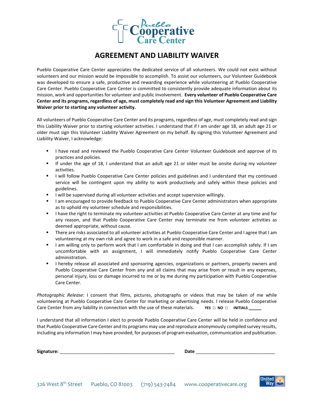

#### **AGREEMENT AND LIABILITY WAIVER**

Pueblo Cooperative Care Center appreciates the dedicated service of all volunteers. We could not exist without volunteers and our mission would be impossible to accomplish. To assist our volunteers, our Volunteer Guidebook was developed to ensure a safe, productive and rewarding experience while volunteering at Pueblo Cooperative Care Center. Pueblo Cooperative Care Center is committed to consistently provide adequate information about its mission, work and opportunities for volunteer and public involvement. **Every volunteer of Pueblo Cooperative Care Center and its programs, regardless of age, must completely read and sign this Volunteer Agreement and Liability Waiver prior to starting any volunteer activity.**

All volunteers of Pueblo Cooperative Care Center and its programs, regardless of age, must completely read and sign this Liability Waiver prior to starting volunteer activities. I understand that if I am under age 18, an adult age 21 or older must sign this Volunteer Liability Waiver Agreement on my behalf. By signing this Volunteer Agreement and Liability Waiver, I acknowledge:

- I have read and reviewed the Pueblo Cooperative Care Center Volunteer Guidebook and approve of its practices and policies.
- If under the age of 18, I understand that an adult age 21 or older must be onsite during my volunteer activities.
- I will follow Pueblo Cooperative Care Center policies and guidelines and I understand that my continued service will be contingent upon my ability to work productively and safely within these policies and guidelines.
- **•** I will be supervised during all volunteer activities and accept supervision willingly.
- I am encouraged to provide feedback to Pueblo Cooperative Care Center administrators when appropriate as to uphold my volunteer schedule and responsibilities.
- I have the right to terminate my volunteer activities at Pueblo Cooperative Care Center at any time and for any reason, and that Pueblo Cooperative Care Center may terminate me from volunteer activities as deemed appropriate, without cause.
- **There are risks associated to all volunteer activities at Pueblo Cooperative Care Center and I agree that I am** volunteering at my own risk and agree to work in a safe and responsible manner.
- I am willing only to perform work that I am comfortable in doing and that I can accomplish safely. If I am uncomfortable with an assignment, I will immediately notify Pueblo Cooperative Care Center administration.
- I hereby release all associated and sponsoring agencies, organizations or partners, property owners and Pueblo Cooperative Care Center from any and all claims that may arise from or result in any expenses, personal injury, loss or damage incurred to me or by me during my participation with Pueblo Cooperative Care Center.

*Photographic Release:* I consent that films, pictures, photographs or videos that may be taken of me while volunteering at Pueblo Cooperative Care Center for marketing or advertising needs. I release Pueblo Cooperative Care Center from any liability in connection with the use of these materials. **YES** □ **NO** □ **INITIALS** 

I understand that all information I elect to provide Pueblo Cooperative Care Center will be held in confidence and that Pueblo Cooperative Care Center and its programs may use and reproduce anonymously compiled survey results, including any information I may have provided, for purposes of program evaluation, communication and publication.

| Signat<br>ature | __ |
|-----------------|----|
|                 |    |